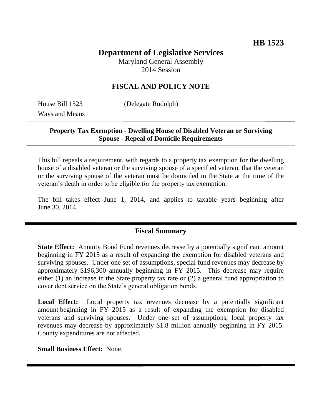# **Department of Legislative Services**

Maryland General Assembly 2014 Session

## **FISCAL AND POLICY NOTE**

Ways and Means

House Bill 1523 (Delegate Rudolph)

## **Property Tax Exemption - Dwelling House of Disabled Veteran or Surviving Spouse - Repeal of Domicile Requirements**

This bill repeals a requirement, with regards to a property tax exemption for the dwelling house of a disabled veteran or the surviving spouse of a specified veteran, that the veteran or the surviving spouse of the veteran must be domiciled in the State at the time of the veteran's death in order to be eligible for the property tax exemption.

The bill takes effect June 1, 2014, and applies to taxable years beginning after June 30, 2014.

#### **Fiscal Summary**

**State Effect:** Annuity Bond Fund revenues decrease by a potentially significant amount beginning in FY 2015 as a result of expanding the exemption for disabled veterans and surviving spouses. Under one set of assumptions, special fund revenues may decrease by approximately \$196,300 annually beginning in FY 2015. This decrease may require either (1) an increase in the State property tax rate or (2) a general fund appropriation to cover debt service on the State's general obligation bonds.

Local Effect: Local property tax revenues decrease by a potentially significant amount beginning in FY 2015 as a result of expanding the exemption for disabled veterans and surviving spouses. Under one set of assumptions, local property tax revenues may decrease by approximately \$1.8 million annually beginning in FY 2015. County expenditures are not affected.

**Small Business Effect:** None.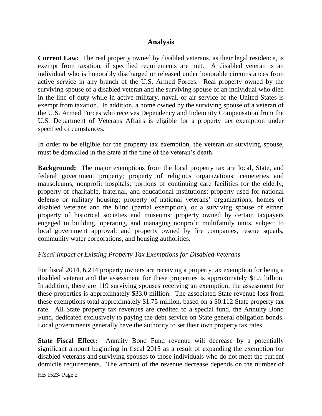#### **Analysis**

**Current Law:** The real property owned by disabled veterans, as their legal residence, is exempt from taxation, if specified requirements are met. A disabled veteran is an individual who is honorably discharged or released under honorable circumstances from active service in any branch of the U.S. Armed Forces. Real property owned by the surviving spouse of a disabled veteran and the surviving spouse of an individual who died in the line of duty while in active military, naval, or air service of the United States is exempt from taxation. In addition, a home owned by the surviving spouse of a veteran of the U.S. Armed Forces who receives Dependency and Indemnity Compensation from the U.S. Department of Veterans Affairs is eligible for a property tax exemption under specified circumstances.

In order to be eligible for the property tax exemption, the veteran or surviving spouse, must be domiciled in the State at the time of the veteran's death.

**Background:** The major exemptions from the local property tax are local, State, and federal government property; property of religious organizations; cemeteries and mausoleums; nonprofit hospitals; portions of continuing care facilities for the elderly; property of charitable, fraternal, and educational institutions; property used for national defense or military housing; property of national veterans' organizations; homes of disabled veterans and the blind (partial exemption), or a surviving spouse of either; property of historical societies and museums; property owned by certain taxpayers engaged in building, operating, and managing nonprofit multifamily units, subject to local government approval; and property owned by fire companies, rescue squads, community water corporations, and housing authorities.

#### *Fiscal Impact of Existing Property Tax Exemptions for Disabled Veterans*

For fiscal 2014, 6,214 property owners are receiving a property tax exemption for being a disabled veteran and the assessment for these properties is approximately \$1.5 billion. In addition, there are 119 surviving spouses receiving an exemption; the assessment for these properties is approximately \$33.0 million. The associated State revenue loss from these exemptions total approximately \$1.75 million, based on a \$0.112 State property tax rate. All State property tax revenues are credited to a special fund, the Annuity Bond Fund, dedicated exclusively to paying the debt service on State general obligation bonds. Local governments generally have the authority to set their own property tax rates.

**State Fiscal Effect:** Annuity Bond Fund revenue will decrease by a potentially significant amount beginning in fiscal 2015 as a result of expanding the exemption for disabled veterans and surviving spouses to those individuals who do not meet the current domicile requirements. The amount of the revenue decrease depends on the number of

HB 1523/ Page 2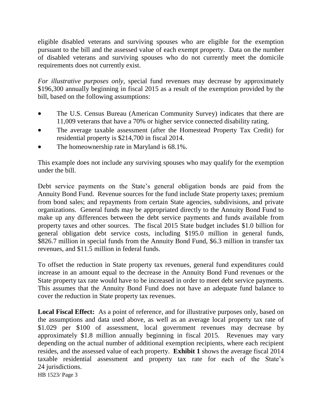eligible disabled veterans and surviving spouses who are eligible for the exemption pursuant to the bill and the assessed value of each exempt property. Data on the number of disabled veterans and surviving spouses who do not currently meet the domicile requirements does not currently exist.

*For illustrative purposes only*, special fund revenues may decrease by approximately \$196,300 annually beginning in fiscal 2015 as a result of the exemption provided by the bill, based on the following assumptions:

- The U.S. Census Bureau (American Community Survey) indicates that there are 11,009 veterans that have a 70% or higher service connected disability rating.
- The average taxable assessment (after the Homestead Property Tax Credit) for residential property is \$214,700 in fiscal 2014.
- The homeownership rate in Maryland is 68.1%.

This example does not include any surviving spouses who may qualify for the exemption under the bill.

Debt service payments on the State's general obligation bonds are paid from the Annuity Bond Fund. Revenue sources for the fund include State property taxes; premium from bond sales; and repayments from certain State agencies, subdivisions, and private organizations. General funds may be appropriated directly to the Annuity Bond Fund to make up any differences between the debt service payments and funds available from property taxes and other sources. The fiscal 2015 State budget includes \$1.0 billion for general obligation debt service costs, including \$195.0 million in general funds, \$826.7 million in special funds from the Annuity Bond Fund, \$6.3 million in transfer tax revenues, and \$11.5 million in federal funds.

To offset the reduction in State property tax revenues, general fund expenditures could increase in an amount equal to the decrease in the Annuity Bond Fund revenues or the State property tax rate would have to be increased in order to meet debt service payments. This assumes that the Annuity Bond Fund does not have an adequate fund balance to cover the reduction in State property tax revenues.

Local Fiscal Effect: As a point of reference, and for illustrative purposes only, based on the assumptions and data used above, as well as an average local property tax rate of \$1.029 per \$100 of assessment, local government revenues may decrease by approximately \$1.8 million annually beginning in fiscal 2015. Revenues may vary depending on the actual number of additional exemption recipients, where each recipient resides, and the assessed value of each property. **Exhibit 1** shows the average fiscal 2014 taxable residential assessment and property tax rate for each of the State's 24 jurisdictions.

HB 1523/ Page 3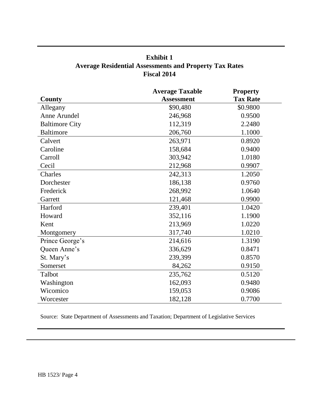# **Exhibit 1 Average Residential Assessments and Property Tax Rates Fiscal 2014**

|                       | <b>Average Taxable</b> | <b>Property</b> |
|-----------------------|------------------------|-----------------|
| County                | <b>Assessment</b>      | <b>Tax Rate</b> |
| Allegany              | \$90,480               | \$0.9800        |
| Anne Arundel          | 246,968                | 0.9500          |
| <b>Baltimore City</b> | 112,319                | 2.2480          |
| <b>Baltimore</b>      | 206,760                | 1.1000          |
| Calvert               | 263,971                | 0.8920          |
| Caroline              | 158,684                | 0.9400          |
| Carroll               | 303,942                | 1.0180          |
| Cecil                 | 212,968                | 0.9907          |
| Charles               | 242,313                | 1.2050          |
| Dorchester            | 186,138                | 0.9760          |
| Frederick             | 268,992                | 1.0640          |
| Garrett               | 121,468                | 0.9900          |
| Harford               | 239,401                | 1.0420          |
| Howard                | 352,116                | 1.1900          |
| Kent                  | 213,969                | 1.0220          |
| Montgomery            | 317,740                | 1.0210          |
| Prince George's       | 214,616                | 1.3190          |
| Queen Anne's          | 336,629                | 0.8471          |
| St. Mary's            | 239,399                | 0.8570          |
| Somerset              | 84,262                 | 0.9150          |
| Talbot                | 235,762                | 0.5120          |
| Washington            | 162,093                | 0.9480          |
| Wicomico              | 159,053                | 0.9086          |
| Worcester             | 182,128                | 0.7700          |

Source: State Department of Assessments and Taxation; Department of Legislative Services